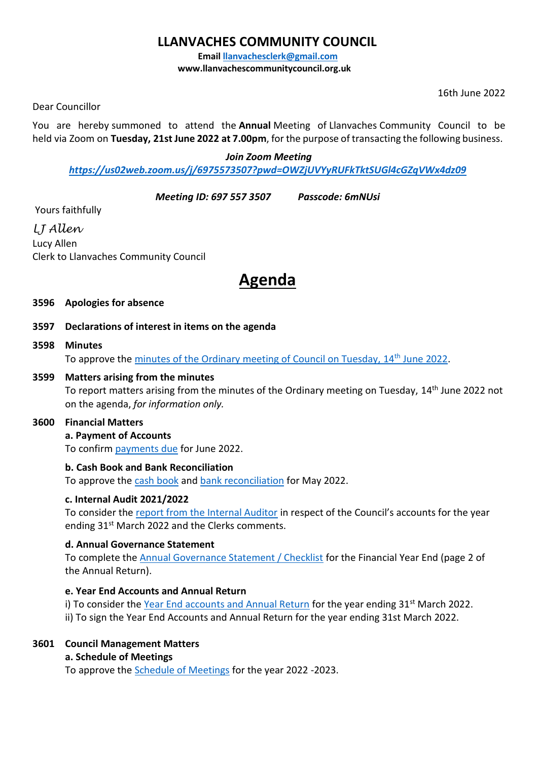# **LLANVACHES COMMUNITY COUNCIL**

**Email [llanvachesclerk@gmail.com](mailto:llanvachesclerk@gmail.com)**

**www.llanvachescommunitycouncil.org.uk** 

16th June 2022

Dear Councillor

You are hereby summoned to attend the **Annual** Meeting of Llanvaches Community Council to be held via Zoom on **Tuesday, 21st June 2022 at 7.00pm**, for the purpose of transacting the following business.

#### *Join Zoom Meeting*

# *<https://us02web.zoom.us/j/6975573507?pwd=OWZjUVYyRUFkTktSUGl4cGZqVWx4dz09>*

*Meeting ID: 697 557 3507 Passcode: 6mNUsi*

Yours faithfully

*LJ Allen* Lucy Allen Clerk to Llanvaches Community Council

# **Agenda**

- **3596 Apologies for absence**
- **3597 Declarations of interest in items on the agenda**
- **3598 Minutes** To approve the [minutes of the Ordinary meeting of Council on Tuesday,](https://v6-5admin.visionict.com/Sites/2769/_UserFiles/Files/_Minutes/146692-14th_June_2022.pdf) 14<sup>th</sup> June 2022.

# **3599 Matters arising from the minutes**

To report matters arising from the minutes of the Ordinary meeting on Tuesday, 14th June 2022 not on the agenda, *for information only.*

# **3600 Financial Matters**

# **a. Payment of Accounts**

To confirm [payments due](https://drive.google.com/file/d/1zjUXKZLB6XgMCuAfibJBtIiXPeT49j8K/view?usp=sharing) for June 2022.

# **b. Cash Book and Bank Reconciliation**

To approve the [cash book](https://drive.google.com/file/d/1mOwK4OqI-7b-Gpc4FMzPh6L3hZEspYxo/view?usp=sharing) and [bank reconciliation](https://drive.google.com/file/d/19fQD-k_F39bUEncUPmE7cmEMsMn9gvcx/view?usp=sharing) for May 2022.

# **c. Internal Audit 2021/2022**

To consider the [report from the Internal Auditor](https://drive.google.com/file/d/1Tn0Z4Rt-f7MAWYGMjzmSihaEnD3sFsXI/view?usp=sharing) in respect of the Council's accounts for the year ending 31<sup>st</sup> March 2022 and the Clerks comments.

# **d. Annual Governance Statement**

To complete th[e Annual Governance Statement / Checklist](https://drive.google.com/file/d/1fyb4wVVyglg3jU5E2k5d6WCK8vHBhe7V/view?usp=sharing) for the Financial Year End (page 2 of the Annual Return).

# **e. Year End Accounts and Annual Return**

i) To consider the [Year End accounts and Annual Return](https://drive.google.com/file/d/1fyb4wVVyglg3jU5E2k5d6WCK8vHBhe7V/view?usp=sharing) for the year ending  $31<sup>st</sup>$  March 2022.

ii) To sign the Year End Accounts and Annual Return for the year ending 31st March 2022.

# **3601 Council Management Matters**

# **a. Schedule of Meetings**

To approve the [Schedule of Meetings](https://drive.google.com/file/d/1pefKhH9nNE0DPYqaPcr49AlCl2x_lton/view?usp=sharing) for the year 2022 -2023.